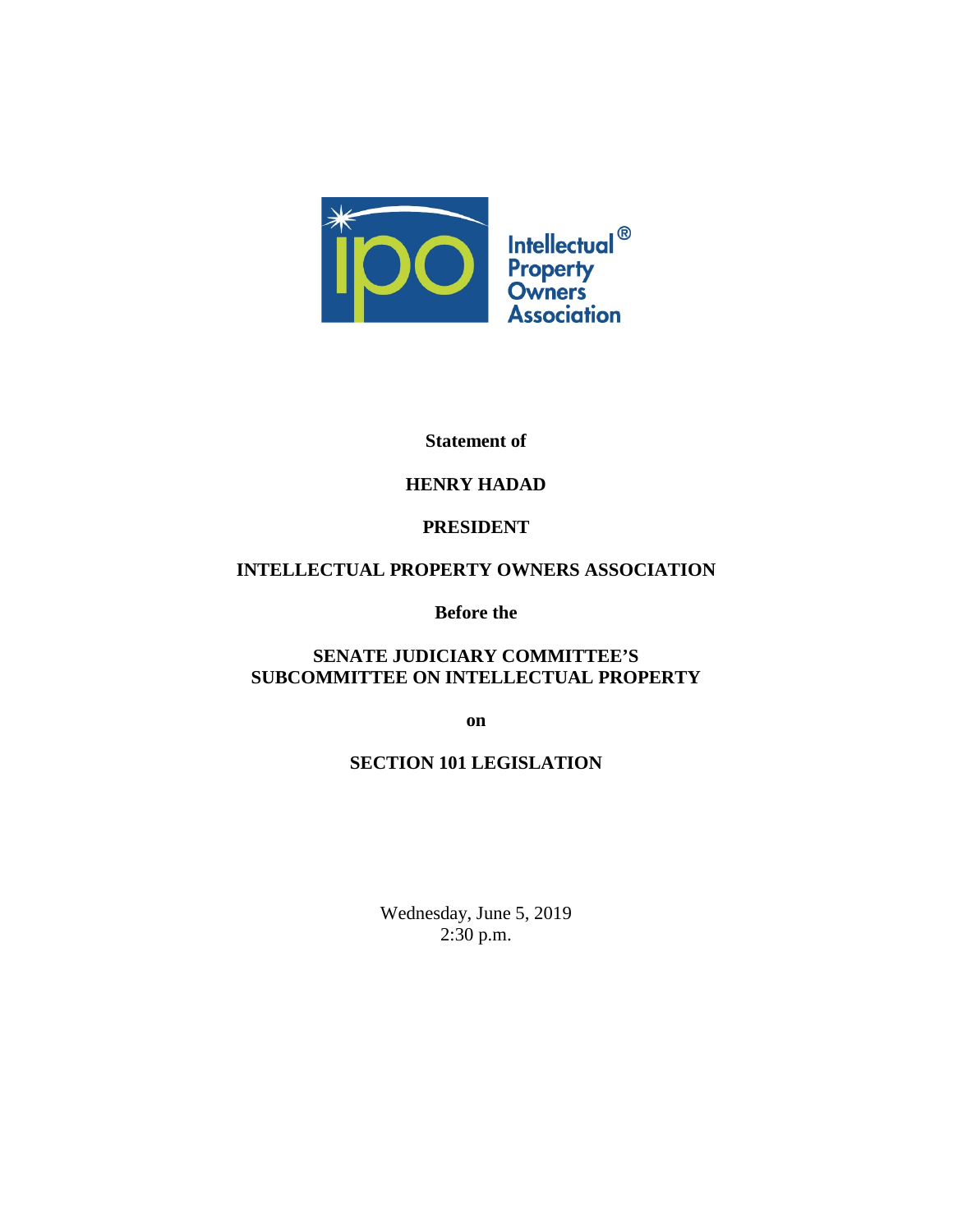

### **Statement of**

# **HENRY HADAD**

# **PRESIDENT**

# **INTELLECTUAL PROPERTY OWNERS ASSOCIATION**

**Before the**

# **SENATE JUDICIARY COMMITTEE'S SUBCOMMITTEE ON INTELLECTUAL PROPERTY**

**on**

# **SECTION 101 LEGISLATION**

Wednesday, June 5, 2019 2:30 p.m.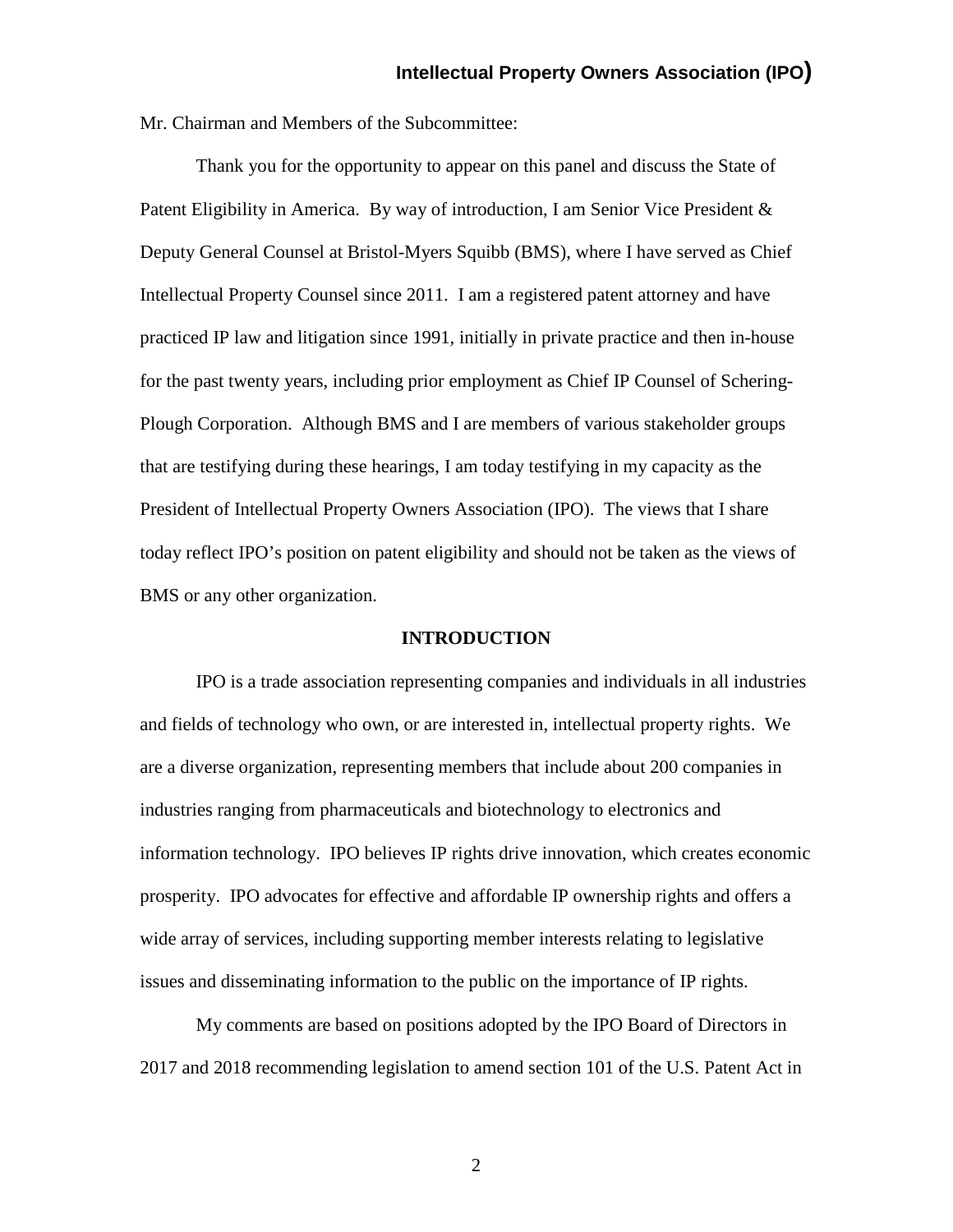Mr. Chairman and Members of the Subcommittee:

Thank you for the opportunity to appear on this panel and discuss the State of Patent Eligibility in America. By way of introduction, I am Senior Vice President & Deputy General Counsel at Bristol-Myers Squibb (BMS), where I have served as Chief Intellectual Property Counsel since 2011. I am a registered patent attorney and have practiced IP law and litigation since 1991, initially in private practice and then in-house for the past twenty years, including prior employment as Chief IP Counsel of Schering-Plough Corporation. Although BMS and I are members of various stakeholder groups that are testifying during these hearings, I am today testifying in my capacity as the President of Intellectual Property Owners Association (IPO). The views that I share today reflect IPO's position on patent eligibility and should not be taken as the views of BMS or any other organization.

#### **INTRODUCTION**

IPO is a trade association representing companies and individuals in all industries and fields of technology who own, or are interested in, intellectual property rights. We are a diverse organization, representing members that include about 200 companies in industries ranging from pharmaceuticals and biotechnology to electronics and information technology. IPO believes IP rights drive innovation, which creates economic prosperity. IPO advocates for effective and affordable IP ownership rights and offers a wide array of services, including supporting member interests relating to legislative issues and disseminating information to the public on the importance of IP rights.

My comments are based on positions adopted by the IPO Board of Directors in 2017 and 2018 recommending legislation to amend section 101 of the U.S. Patent Act in

2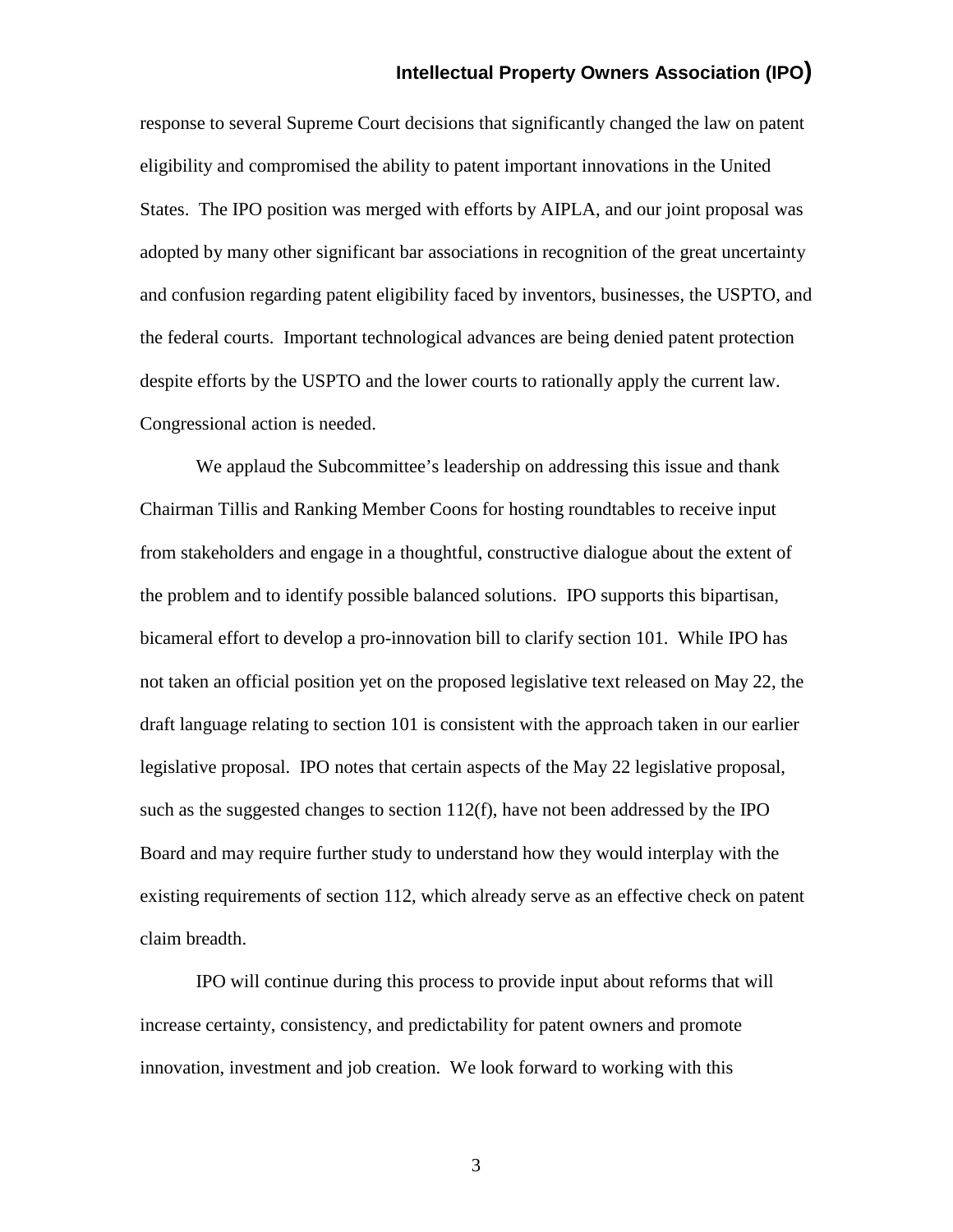response to several Supreme Court decisions that significantly changed the law on patent eligibility and compromised the ability to patent important innovations in the United States. The IPO position was merged with efforts by AIPLA, and our joint proposal was adopted by many other significant bar associations in recognition of the great uncertainty and confusion regarding patent eligibility faced by inventors, businesses, the USPTO, and the federal courts. Important technological advances are being denied patent protection despite efforts by the USPTO and the lower courts to rationally apply the current law. Congressional action is needed.

We applaud the Subcommittee's leadership on addressing this issue and thank Chairman Tillis and Ranking Member Coons for hosting roundtables to receive input from stakeholders and engage in a thoughtful, constructive dialogue about the extent of the problem and to identify possible balanced solutions. IPO supports this bipartisan, bicameral effort to develop a pro-innovation bill to clarify section 101. While IPO has not taken an official position yet on the proposed legislative text released on May 22, the draft language relating to section 101 is consistent with the approach taken in our earlier legislative proposal. IPO notes that certain aspects of the May 22 legislative proposal, such as the suggested changes to section  $112(f)$ , have not been addressed by the IPO Board and may require further study to understand how they would interplay with the existing requirements of section 112, which already serve as an effective check on patent claim breadth.

IPO will continue during this process to provide input about reforms that will increase certainty, consistency, and predictability for patent owners and promote innovation, investment and job creation. We look forward to working with this

3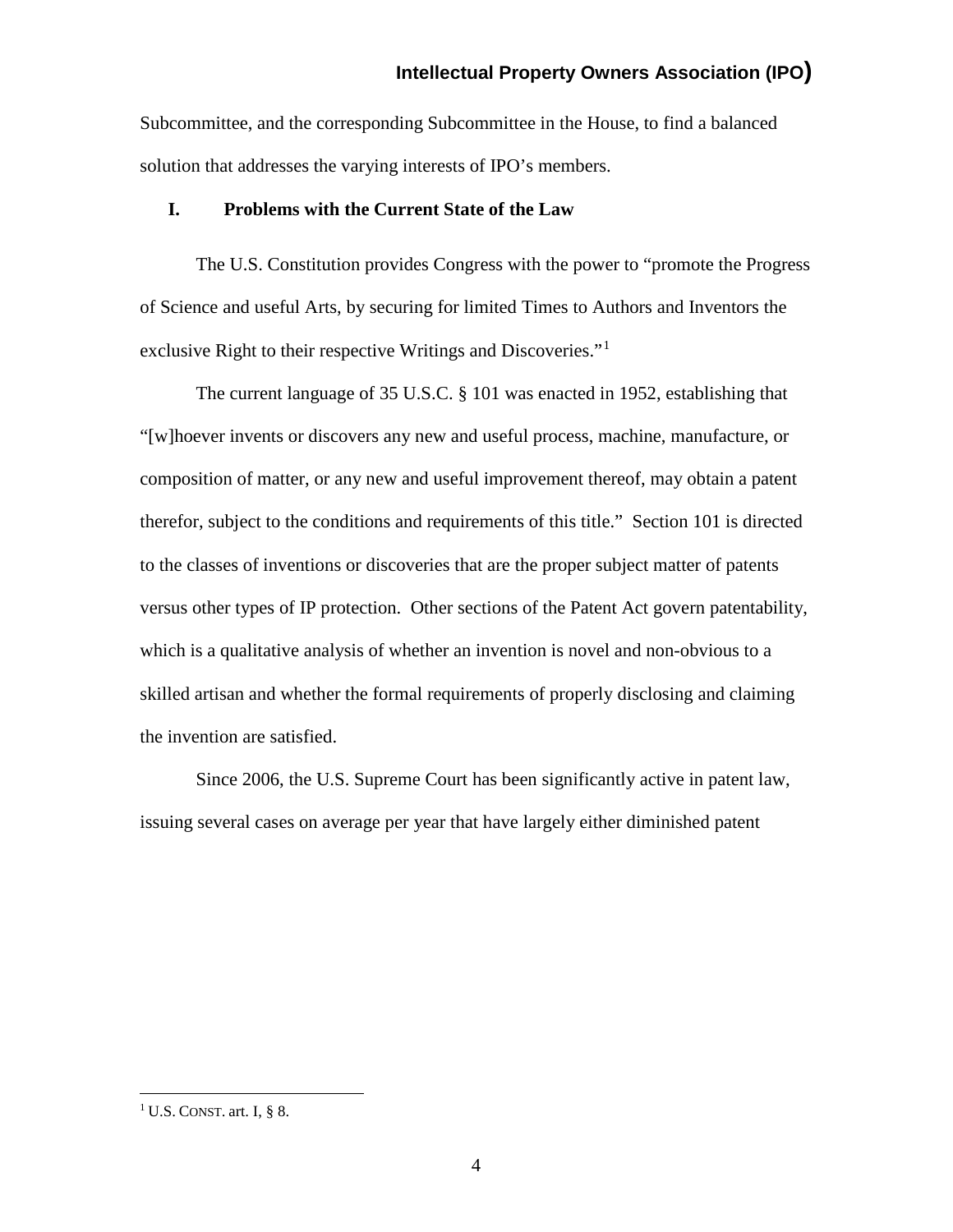Subcommittee, and the corresponding Subcommittee in the House, to find a balanced solution that addresses the varying interests of IPO's members.

### **I. Problems with the Current State of the Law**

The U.S. Constitution provides Congress with the power to "promote the Progress of Science and useful Arts, by securing for limited Times to Authors and Inventors the exclusive Right to their respective Writings and Discoveries."[1](#page-3-0)

The current language of 35 U.S.C. § 101 was enacted in 1952, establishing that "[w]hoever invents or discovers any new and useful process, machine, manufacture, or composition of matter, or any new and useful improvement thereof, may obtain a patent therefor, subject to the conditions and requirements of this title." Section 101 is directed to the classes of inventions or discoveries that are the proper subject matter of patents versus other types of IP protection. Other sections of the Patent Act govern patentability, which is a qualitative analysis of whether an invention is novel and non-obvious to a skilled artisan and whether the formal requirements of properly disclosing and claiming the invention are satisfied.

Since 2006, the U.S. Supreme Court has been significantly active in patent law, issuing several cases on average per year that have largely either diminished patent

<span id="page-3-0"></span><sup>&</sup>lt;sup>1</sup> U.S. CONST. art. I, § 8.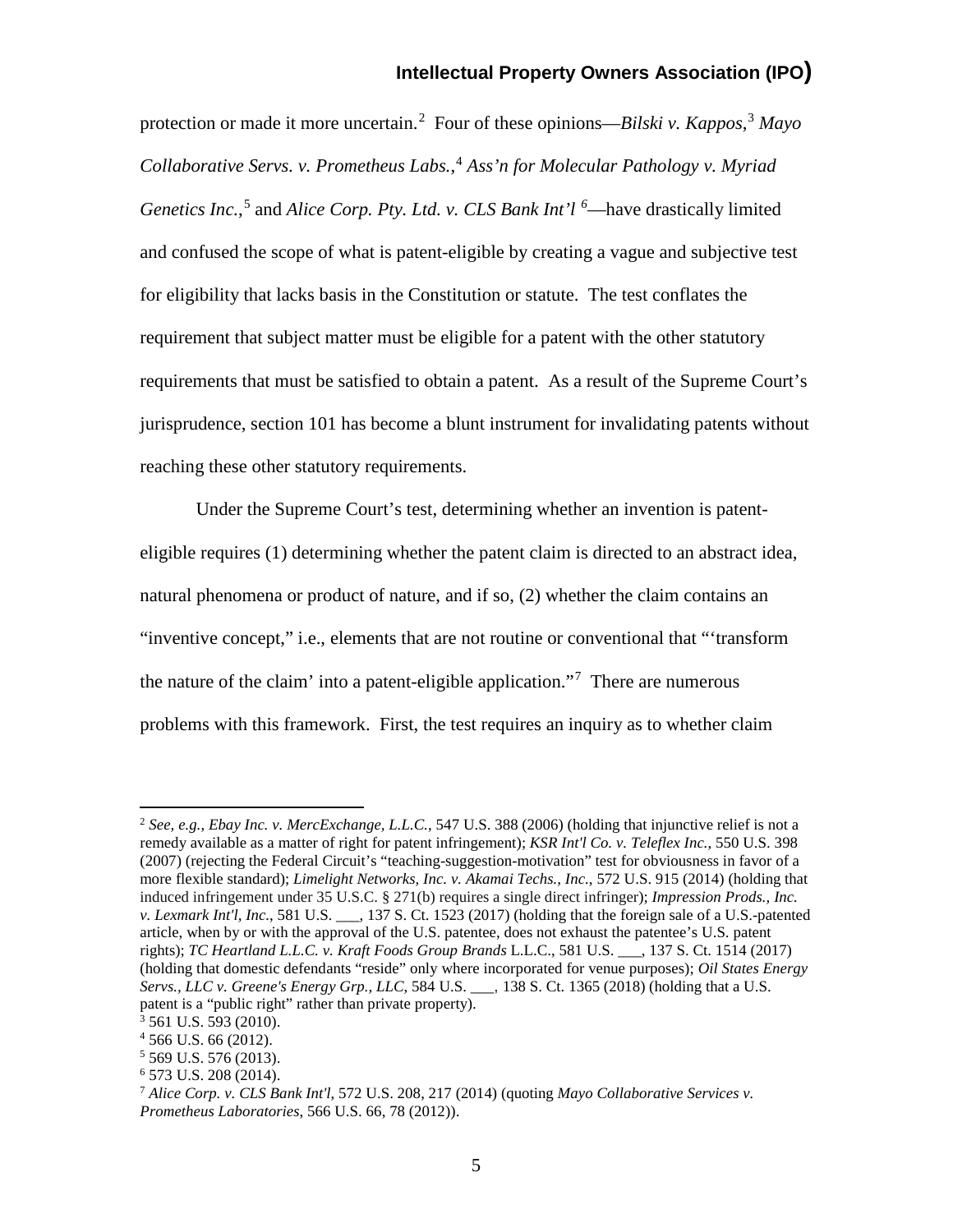protection or made it more uncertain.[2](#page-4-0) Four of these opinions—*Bilski v. Kappos*, [3](#page-4-1) *Mayo Collaborative Servs. v. Prometheus Labs.*, [4](#page-4-2) *Ass'n for Molecular Pathology v. Myriad Genetics Inc.*, [5](#page-4-3) and *Alice Corp. Pty. Ltd. v. CLS Bank Int'l [6](#page-4-4)* —have drastically limited and confused the scope of what is patent-eligible by creating a vague and subjective test for eligibility that lacks basis in the Constitution or statute. The test conflates the requirement that subject matter must be eligible for a patent with the other statutory requirements that must be satisfied to obtain a patent. As a result of the Supreme Court's jurisprudence, section 101 has become a blunt instrument for invalidating patents without reaching these other statutory requirements.

Under the Supreme Court's test, determining whether an invention is patenteligible requires (1) determining whether the patent claim is directed to an abstract idea, natural phenomena or product of nature, and if so, (2) whether the claim contains an "inventive concept," i.e., elements that are not routine or conventional that "'transform the nature of the claim' into a patent-eligible application."<sup>[7](#page-4-5)</sup> There are numerous problems with this framework. First, the test requires an inquiry as to whether claim

<span id="page-4-0"></span> <sup>2</sup> *See, e.g.*, *Ebay Inc. v. MercExchange, L.L.C.*, 547 U.S. 388 (2006) (holding that injunctive relief is not a remedy available as a matter of right for patent infringement); *KSR Int'l Co. v. Teleflex Inc.*, 550 U.S. 398 (2007) (rejecting the Federal Circuit's "teaching-suggestion-motivation" test for obviousness in favor of a more flexible standard); *Limelight Networks, Inc. v. Akamai Techs., Inc.*, 572 U.S. 915 (2014) (holding that induced infringement under 35 U.S.C. § 271(b) requires a single direct infringer); *Impression Prods., Inc. v. Lexmark Int'l, Inc.*, 581 U.S. \_\_\_, 137 S. Ct. 1523 (2017) (holding that the foreign sale of a U.S.-patented article, when by or with the approval of the U.S. patentee, does not exhaust the patentee's U.S. patent rights); *TC Heartland L.L.C. v. Kraft Foods Group Brands* L.L.C., 581 U.S. \_\_\_, 137 S. Ct. 1514 (2017) (holding that domestic defendants "reside" only where incorporated for venue purposes); *Oil States Energy Servs., LLC v. Greene's Energy Grp., LLC*, 584 U.S. \_\_\_, 138 S. Ct. 1365 (2018) (holding that a U.S. patent is a "public right" rather than private property).

<span id="page-4-1"></span><sup>3</sup> 561 U.S. 593 (2010).

<span id="page-4-2"></span> $4\,566$  U.S. 66 (2012).

<span id="page-4-4"></span><span id="page-4-3"></span><sup>5</sup> 569 U.S. 576 (2013).

<sup>6</sup> 573 U.S. 208 (2014).

<span id="page-4-5"></span><sup>7</sup> *Alice Corp. v. CLS Bank Int'l*, 572 U.S. 208, 217 (2014) (quoting *Mayo Collaborative Services v. Prometheus Laboratories*, 566 U.S. 66, 78 (2012)).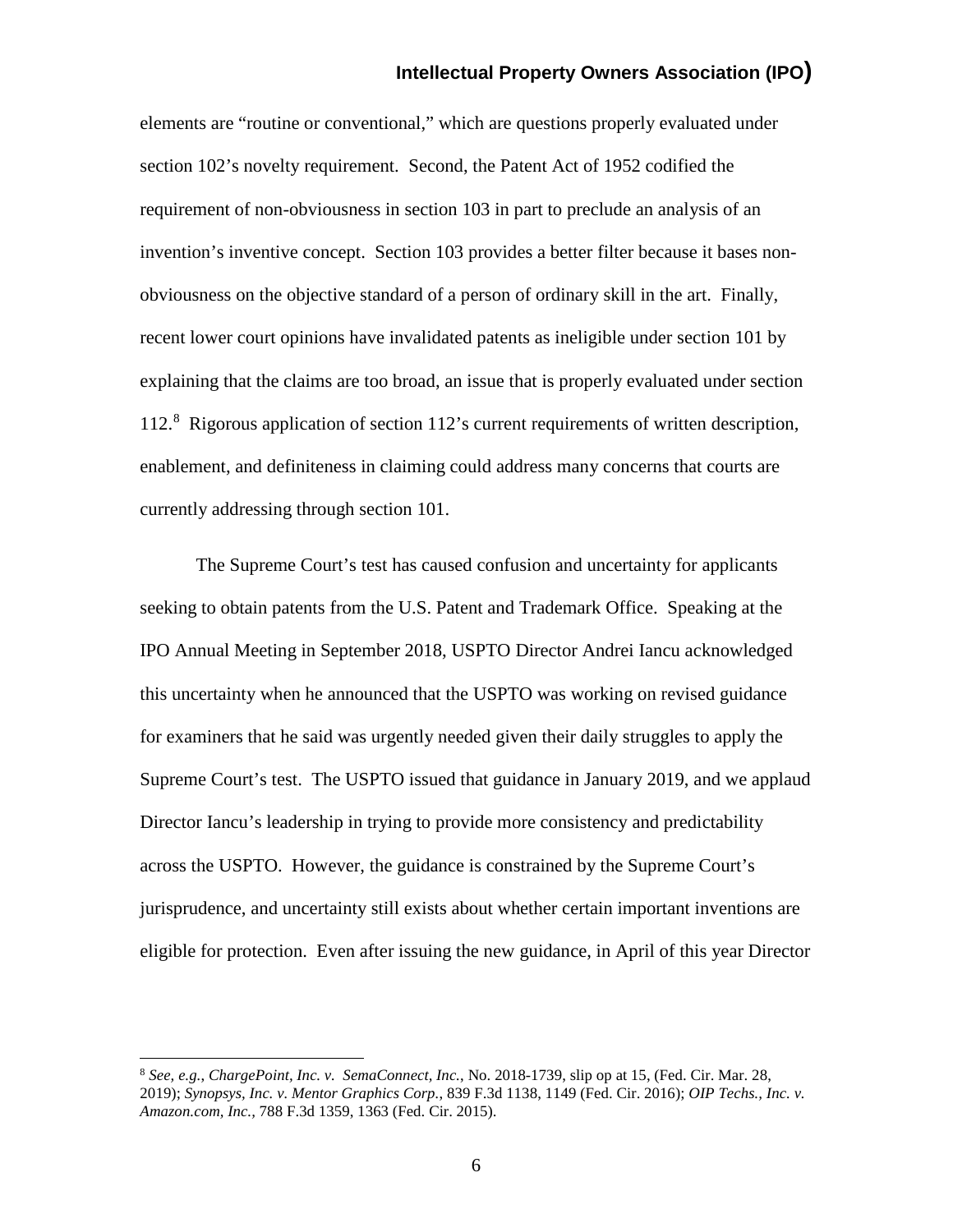elements are "routine or conventional," which are questions properly evaluated under section 102's novelty requirement. Second, the Patent Act of 1952 codified the requirement of non-obviousness in section 103 in part to preclude an analysis of an invention's inventive concept. Section 103 provides a better filter because it bases nonobviousness on the objective standard of a person of ordinary skill in the art. Finally, recent lower court opinions have invalidated patents as ineligible under section 101 by explaining that the claims are too broad, an issue that is properly evaluated under section 112. [8](#page-5-0) Rigorous application of section 112's current requirements of written description, enablement, and definiteness in claiming could address many concerns that courts are currently addressing through section 101.

The Supreme Court's test has caused confusion and uncertainty for applicants seeking to obtain patents from the U.S. Patent and Trademark Office. Speaking at the IPO Annual Meeting in September 2018, USPTO Director Andrei Iancu acknowledged this uncertainty when he announced that the USPTO was working on revised guidance for examiners that he said was urgently needed given their daily struggles to apply the Supreme Court's test. The USPTO issued that guidance in January 2019, and we applaud Director Iancu's leadership in trying to provide more consistency and predictability across the USPTO. However, the guidance is constrained by the Supreme Court's jurisprudence, and uncertainty still exists about whether certain important inventions are eligible for protection. Even after issuing the new guidance, in April of this year Director

<span id="page-5-0"></span> <sup>8</sup> *See, e.g.*, *ChargePoint, Inc. v. SemaConnect, Inc.*, No. 2018-1739, slip op at 15, (Fed. Cir. Mar. 28, 2019); *Synopsys, Inc. v. Mentor Graphics Corp.*, 839 F.3d 1138, 1149 (Fed. Cir. 2016); *OIP Techs., Inc. v. Amazon.com, Inc.,* 788 F.3d 1359, 1363 (Fed. Cir. 2015).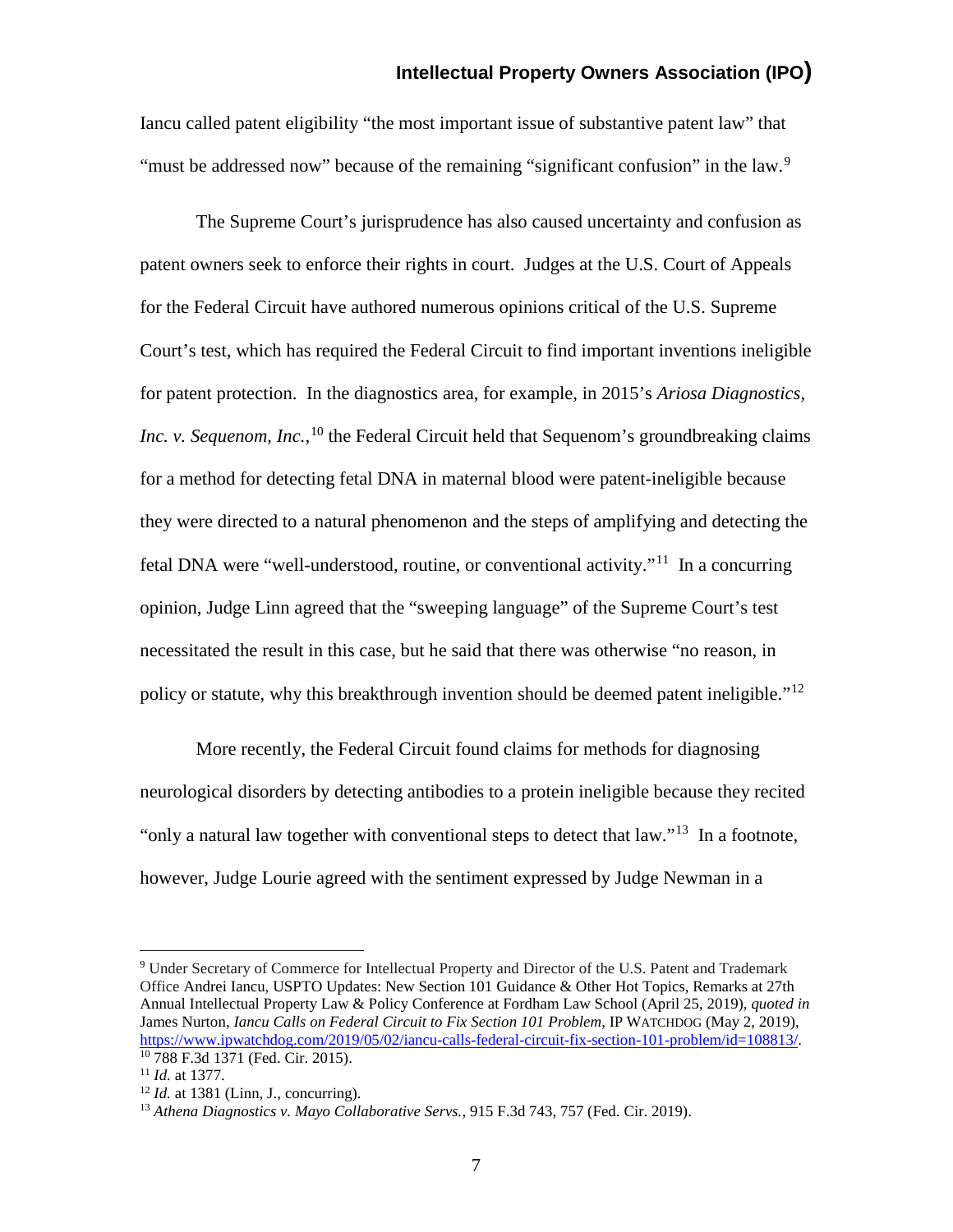Iancu called patent eligibility "the most important issue of substantive patent law" that "must be addressed now" because of the remaining "significant confusion" in the law.<sup>[9](#page-6-0)</sup>

The Supreme Court's jurisprudence has also caused uncertainty and confusion as patent owners seek to enforce their rights in court. Judges at the U.S. Court of Appeals for the Federal Circuit have authored numerous opinions critical of the U.S. Supreme Court's test, which has required the Federal Circuit to find important inventions ineligible for patent protection. In the diagnostics area, for example, in 2015's *Ariosa Diagnostics, Inc. v. Sequenom, Inc.*,<sup>[10](#page-6-1)</sup> the Federal Circuit held that Sequenom's groundbreaking claims for a method for detecting fetal DNA in maternal blood were patent-ineligible because they were directed to a natural phenomenon and the steps of amplifying and detecting the fetal DNA were "well-understood, routine, or conventional activity."[11](#page-6-2) In a concurring opinion, Judge Linn agreed that the "sweeping language" of the Supreme Court's test necessitated the result in this case, but he said that there was otherwise "no reason, in policy or statute, why this breakthrough invention should be deemed patent ineligible."<sup>[12](#page-6-3)</sup>

More recently, the Federal Circuit found claims for methods for diagnosing neurological disorders by detecting antibodies to a protein ineligible because they recited "only a natural law together with conventional steps to detect that  $law$ ."<sup>[13](#page-6-4)</sup> In a footnote, however, Judge Lourie agreed with the sentiment expressed by Judge Newman in a

<span id="page-6-0"></span> <sup>9</sup> Under Secretary of Commerce for Intellectual Property and Director of the U.S. Patent and Trademark Office Andrei Iancu, USPTO Updates: New Section 101 Guidance & Other Hot Topics, Remarks at 27th Annual Intellectual Property Law & Policy Conference at Fordham Law School (April 25, 2019), *quoted in* James Nurton, *Iancu Calls on Federal Circuit to Fix Section 101 Problem*, IP WATCHDOG (May 2, 2019), [https://www.ipwatchdog.com/2019/05/02/iancu-calls-federal-circuit-fix-section-101-problem/id=108813/.](https://www.ipwatchdog.com/2019/05/02/iancu-calls-federal-circuit-fix-section-101-problem/id=108813/) <sup>10</sup> 788 F.3d 1371 (Fed. Cir. 2015).

<span id="page-6-2"></span><span id="page-6-1"></span><sup>11</sup> *Id.* at 1377.

<span id="page-6-3"></span> $12$  *Id.* at 1381 (Linn, J., concurring).

<span id="page-6-4"></span><sup>13</sup> *Athena Diagnostics v. Mayo Collaborative Servs.*, 915 F.3d 743, 757 (Fed. Cir. 2019).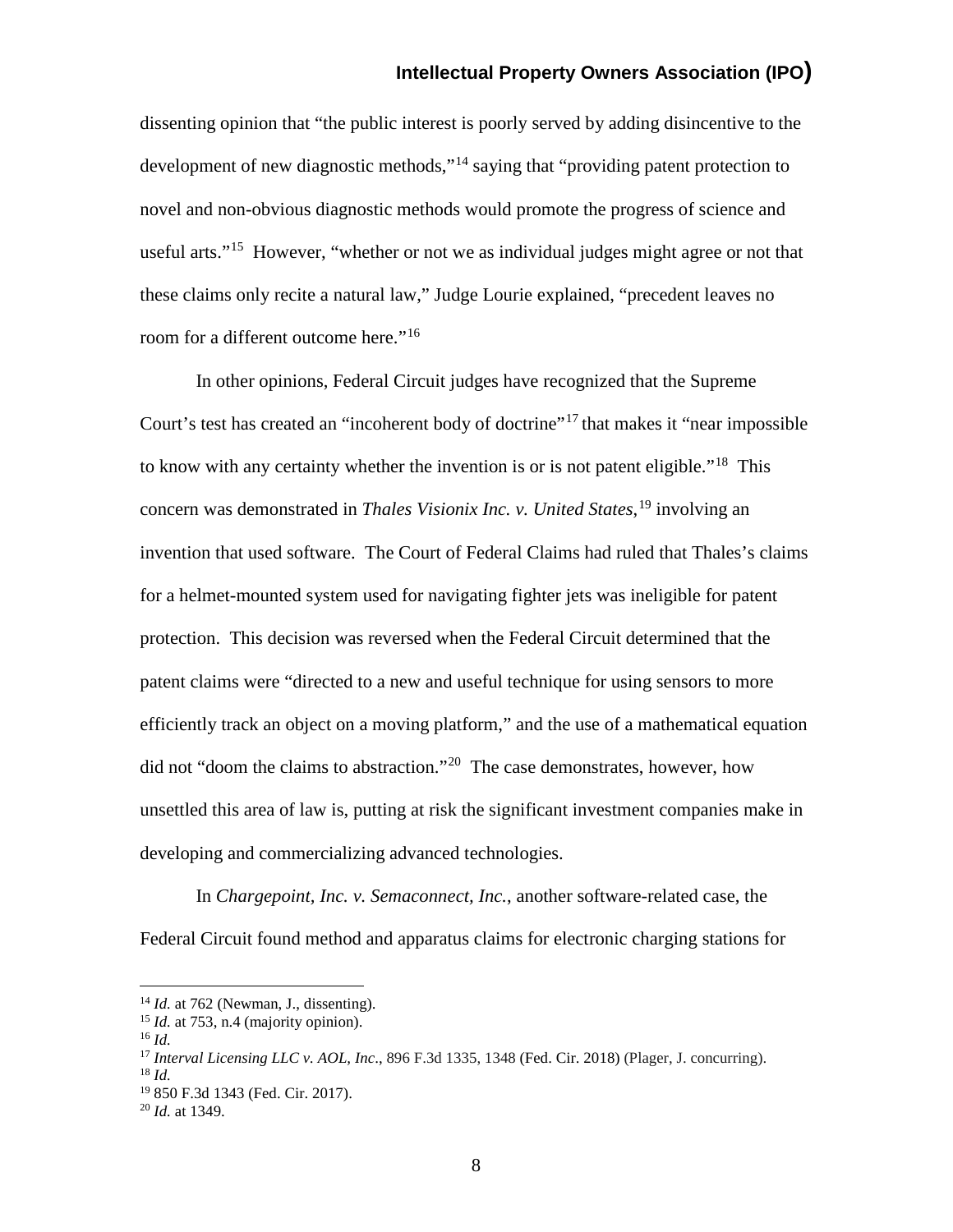dissenting opinion that "the public interest is poorly served by adding disincentive to the development of new diagnostic methods,"<sup>[14](#page-7-0)</sup> saying that "providing patent protection to novel and non-obvious diagnostic methods would promote the progress of science and useful arts."<sup>[15](#page-7-1)</sup> However, "whether or not we as individual judges might agree or not that these claims only recite a natural law," Judge Lourie explained, "precedent leaves no room for a different outcome here."<sup>[16](#page-7-2)</sup>

In other opinions, Federal Circuit judges have recognized that the Supreme Court's test has created an "incoherent body of doctrine"<sup>[17](#page-7-3)</sup> that makes it "near impossible" to know with any certainty whether the invention is or is not patent eligible.<sup> $18$ </sup> This concern was demonstrated in *Thales Visionix Inc. v. United States*, [19](#page-7-5) involving an invention that used software. The Court of Federal Claims had ruled that Thales's claims for a helmet-mounted system used for navigating fighter jets was ineligible for patent protection. This decision was reversed when the Federal Circuit determined that the patent claims were "directed to a new and useful technique for using sensors to more efficiently track an object on a moving platform," and the use of a mathematical equation did not "doom the claims to abstraction."<sup>[20](#page-7-6)</sup> The case demonstrates, however, how unsettled this area of law is, putting at risk the significant investment companies make in developing and commercializing advanced technologies.

In *Chargepoint, Inc. v. Semaconnect, Inc.*, another software-related case, the Federal Circuit found method and apparatus claims for electronic charging stations for

<span id="page-7-0"></span> <sup>14</sup> *Id.* at 762 (Newman, J., dissenting).

<span id="page-7-1"></span><sup>15</sup> *Id.* at 753, n.4 (majority opinion).

<span id="page-7-2"></span><sup>16</sup> *Id.*

<span id="page-7-3"></span><sup>17</sup> *Interval Licensing LLC v. AOL, Inc*., 896 F.3d 1335, 1348 (Fed. Cir. 2018) (Plager, J. concurring). <sup>18</sup> *Id.*

<span id="page-7-5"></span><span id="page-7-4"></span><sup>19</sup> 850 F.3d 1343 (Fed. Cir. 2017).

<span id="page-7-6"></span><sup>20</sup> *Id.* at 1349.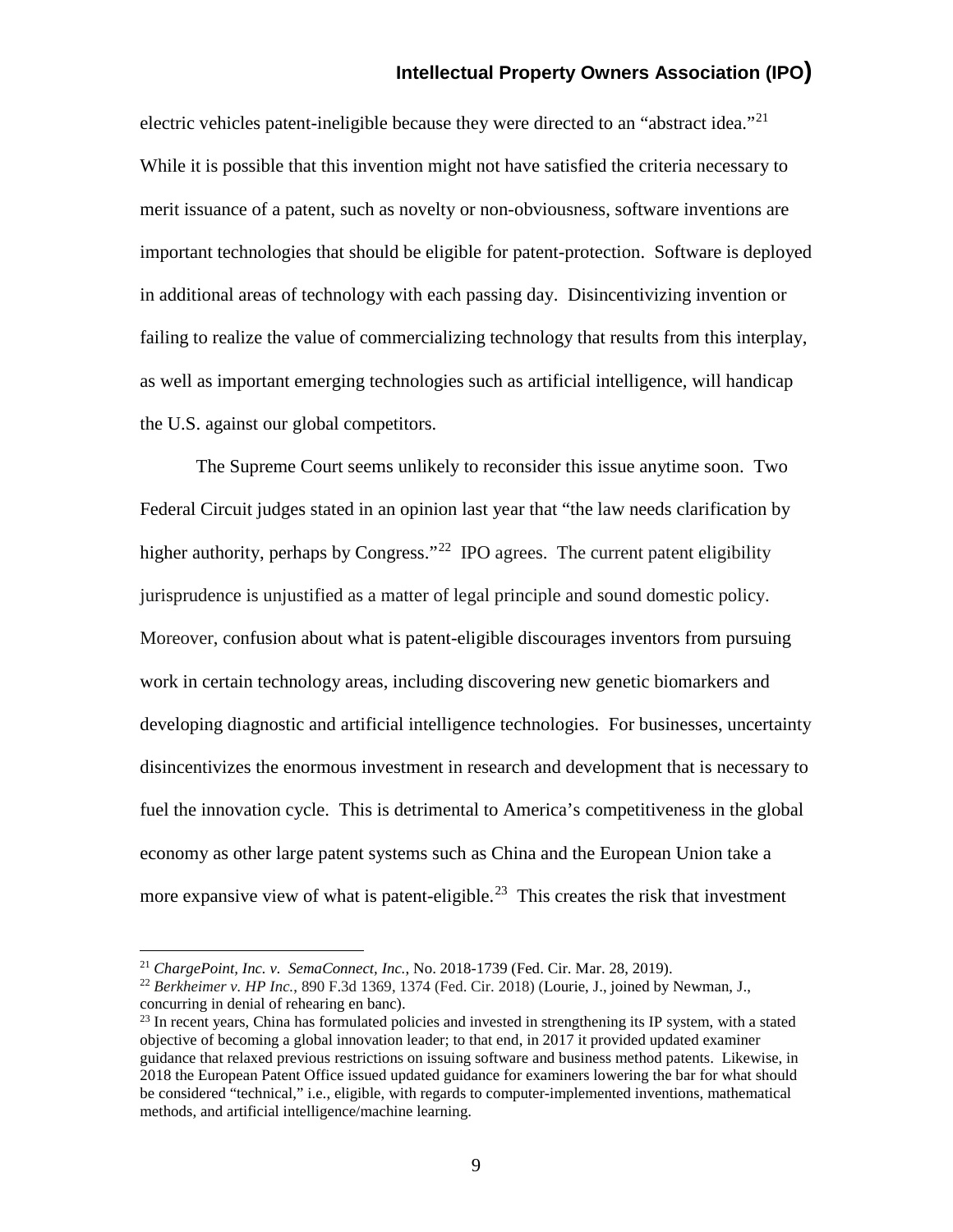electric vehicles patent-ineligible because they were directed to an "abstract idea."<sup>[21](#page-8-0)</sup> While it is possible that this invention might not have satisfied the criteria necessary to merit issuance of a patent, such as novelty or non-obviousness, software inventions are important technologies that should be eligible for patent-protection. Software is deployed in additional areas of technology with each passing day. Disincentivizing invention or failing to realize the value of commercializing technology that results from this interplay, as well as important emerging technologies such as artificial intelligence, will handicap the U.S. against our global competitors.

The Supreme Court seems unlikely to reconsider this issue anytime soon. Two Federal Circuit judges stated in an opinion last year that "the law needs clarification by higher authority, perhaps by Congress."<sup>[22](#page-8-1)</sup> IPO agrees. The current patent eligibility jurisprudence is unjustified as a matter of legal principle and sound domestic policy. Moreover, confusion about what is patent-eligible discourages inventors from pursuing work in certain technology areas, including discovering new genetic biomarkers and developing diagnostic and artificial intelligence technologies. For businesses, uncertainty disincentivizes the enormous investment in research and development that is necessary to fuel the innovation cycle. This is detrimental to America's competitiveness in the global economy as other large patent systems such as China and the European Union take a more expansive view of what is patent-eligible. $2<sup>3</sup>$  This creates the risk that investment

<span id="page-8-0"></span> <sup>21</sup> *ChargePoint, Inc. v. SemaConnect, Inc.*, No. 2018-1739 (Fed. Cir. Mar. 28, 2019).

<span id="page-8-1"></span><sup>22</sup> *Berkheimer v. HP Inc.*, 890 F.3d 1369, 1374 (Fed. Cir. 2018) (Lourie, J., joined by Newman, J., concurring in denial of rehearing en banc).

<span id="page-8-2"></span> $^{23}$  In recent years, China has formulated policies and invested in strengthening its IP system, with a stated objective of becoming a global innovation leader; to that end, in 2017 it provided updated examiner guidance that relaxed previous restrictions on issuing software and business method patents. Likewise, in 2018 the European Patent Office issued updated guidance for examiners lowering the bar for what should be considered "technical," i.e., eligible, with regards to computer-implemented inventions, mathematical methods, and artificial intelligence/machine learning.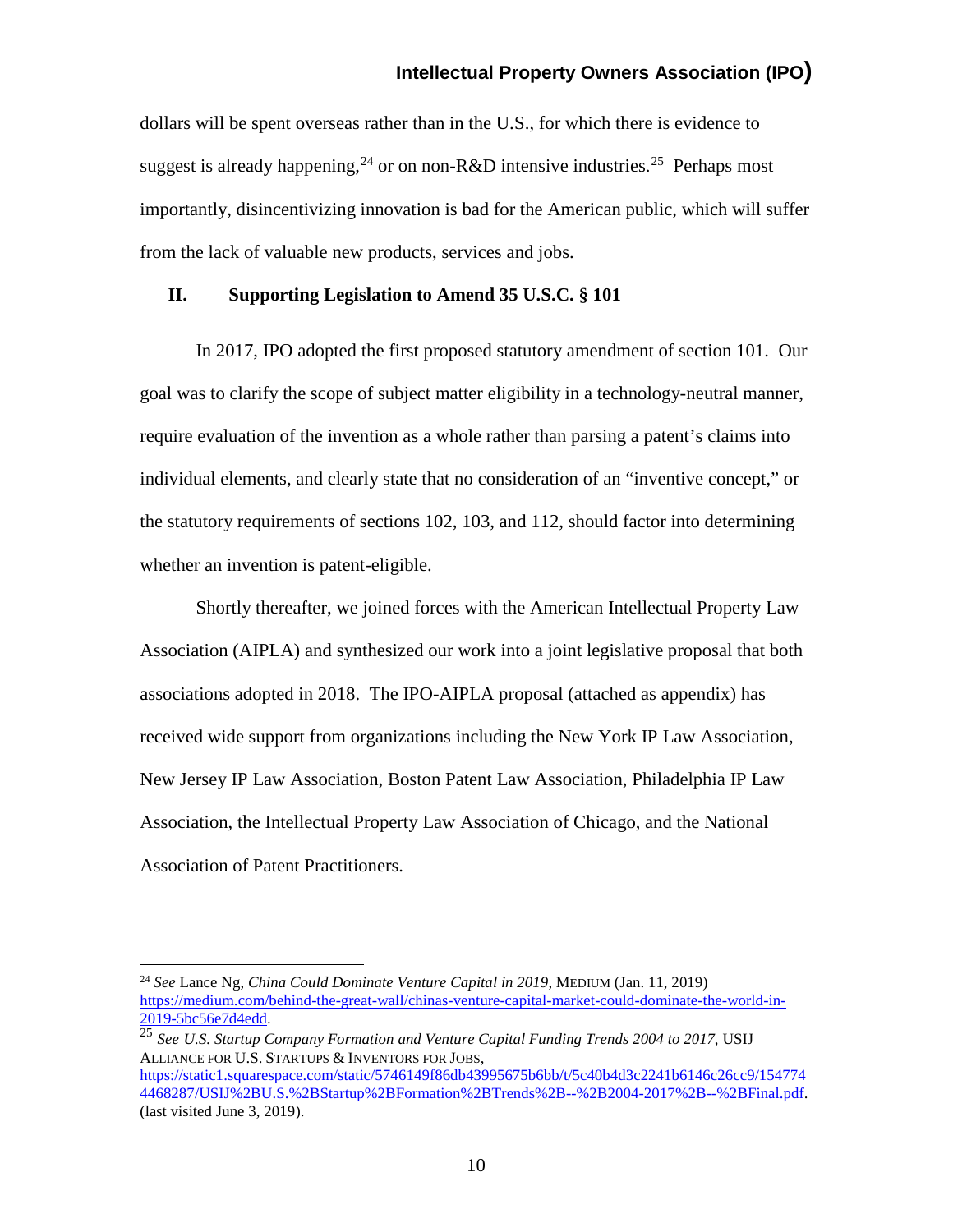dollars will be spent overseas rather than in the U.S., for which there is evidence to suggest is already happening,<sup>[24](#page-9-0)</sup> or on non-R&D intensive industries.<sup>25</sup> Perhaps most importantly, disincentivizing innovation is bad for the American public, which will suffer from the lack of valuable new products, services and jobs.

#### **II. Supporting Legislation to Amend 35 U.S.C. § 101**

In 2017, IPO adopted the first proposed statutory amendment of section 101. Our goal was to clarify the scope of subject matter eligibility in a technology-neutral manner, require evaluation of the invention as a whole rather than parsing a patent's claims into individual elements, and clearly state that no consideration of an "inventive concept," or the statutory requirements of sections 102, 103, and 112, should factor into determining whether an invention is patent-eligible.

Shortly thereafter, we joined forces with the American Intellectual Property Law Association (AIPLA) and synthesized our work into a joint legislative proposal that both associations adopted in 2018. The IPO-AIPLA proposal (attached as appendix) has received wide support from organizations including the New York IP Law Association, New Jersey IP Law Association, Boston Patent Law Association, Philadelphia IP Law Association, the Intellectual Property Law Association of Chicago, and the National Association of Patent Practitioners.

<span id="page-9-0"></span> <sup>24</sup> *See* Lance Ng, *China Could Dominate Venture Capital in 2019*, MEDIUM (Jan. 11, 2019) [https://medium.com/behind-the-great-wall/chinas-venture-capital-market-could-dominate-the-world-in-](https://medium.com/behind-the-great-wall/chinas-venture-capital-market-could-dominate-the-world-in-2019-5bc56e7d4edd)[2019-5bc56e7d4edd.](https://medium.com/behind-the-great-wall/chinas-venture-capital-market-could-dominate-the-world-in-2019-5bc56e7d4edd)

<span id="page-9-1"></span><sup>25</sup> *See U.S. Startup Company Formation and Venture Capital Funding Trends 2004 to 2017*, USIJ ALLIANCE FOR U.S. STARTUPS & INVENTORS FOR JOBS,

[https://static1.squarespace.com/static/5746149f86db43995675b6bb/t/5c40b4d3c2241b6146c26cc9/154774](https://static1.squarespace.com/static/5746149f86db43995675b6bb/t/5c40b4d3c2241b6146c26cc9/1547744468287/USIJ%2BU.S.%2BStartup%2BFormation%2BTrends%2B--%2B2004-2017%2B--%2BFinal.pdf) [4468287/USIJ%2BU.S.%2BStartup%2BFormation%2BTrends%2B--%2B2004-2017%2B--%2BFinal.pdf.](https://static1.squarespace.com/static/5746149f86db43995675b6bb/t/5c40b4d3c2241b6146c26cc9/1547744468287/USIJ%2BU.S.%2BStartup%2BFormation%2BTrends%2B--%2B2004-2017%2B--%2BFinal.pdf) (last visited June 3, 2019).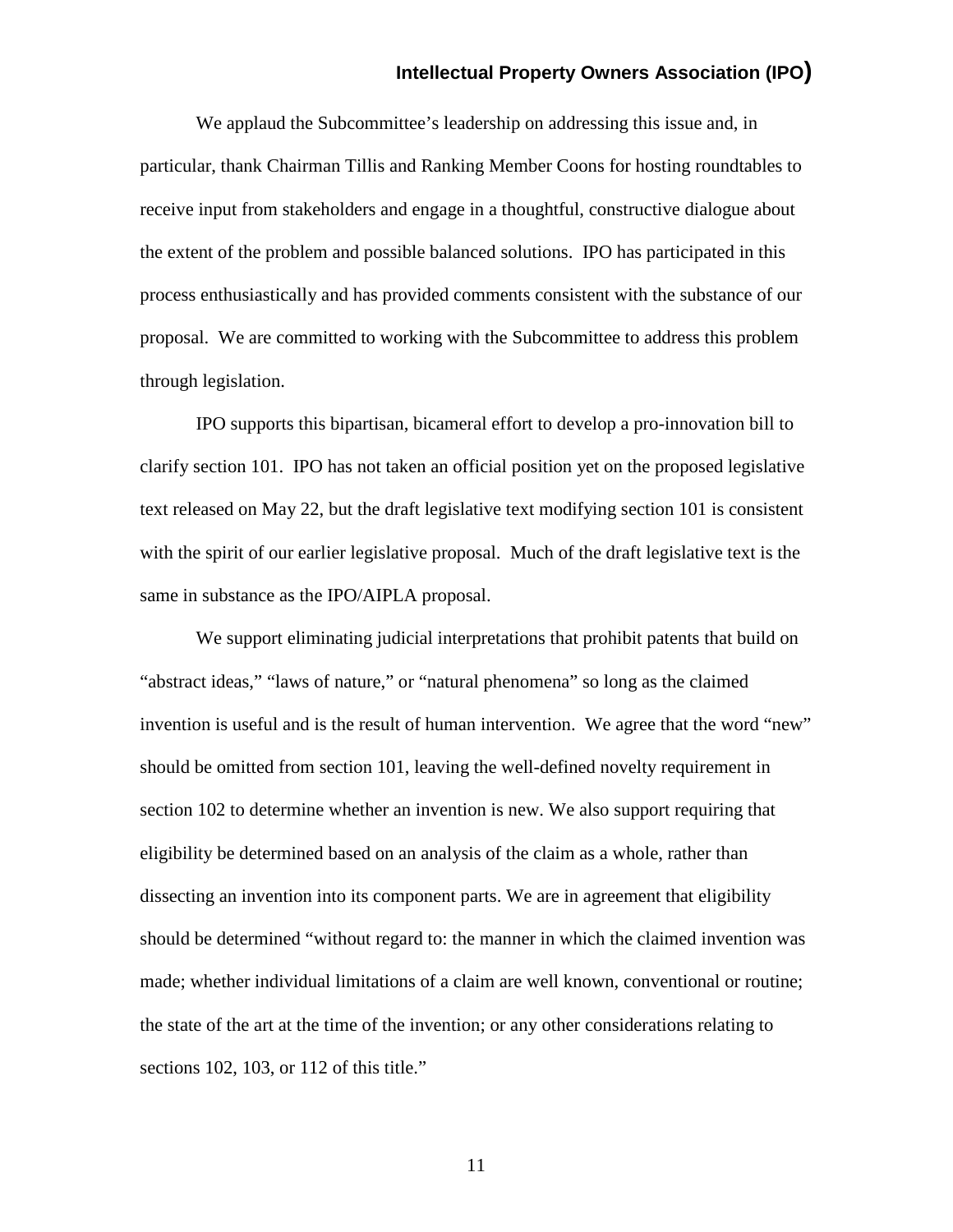We applaud the Subcommittee's leadership on addressing this issue and, in particular, thank Chairman Tillis and Ranking Member Coons for hosting roundtables to receive input from stakeholders and engage in a thoughtful, constructive dialogue about the extent of the problem and possible balanced solutions. IPO has participated in this process enthusiastically and has provided comments consistent with the substance of our proposal. We are committed to working with the Subcommittee to address this problem through legislation.

IPO supports this bipartisan, bicameral effort to develop a pro-innovation bill to clarify section 101. IPO has not taken an official position yet on the proposed legislative text released on May 22, but the draft legislative text modifying section 101 is consistent with the spirit of our earlier legislative proposal. Much of the draft legislative text is the same in substance as the IPO/AIPLA proposal.

We support eliminating judicial interpretations that prohibit patents that build on "abstract ideas," "laws of nature," or "natural phenomena" so long as the claimed invention is useful and is the result of human intervention. We agree that the word "new" should be omitted from section 101, leaving the well-defined novelty requirement in section 102 to determine whether an invention is new. We also support requiring that eligibility be determined based on an analysis of the claim as a whole, rather than dissecting an invention into its component parts. We are in agreement that eligibility should be determined "without regard to: the manner in which the claimed invention was made; whether individual limitations of a claim are well known, conventional or routine; the state of the art at the time of the invention; or any other considerations relating to sections 102, 103, or 112 of this title."

11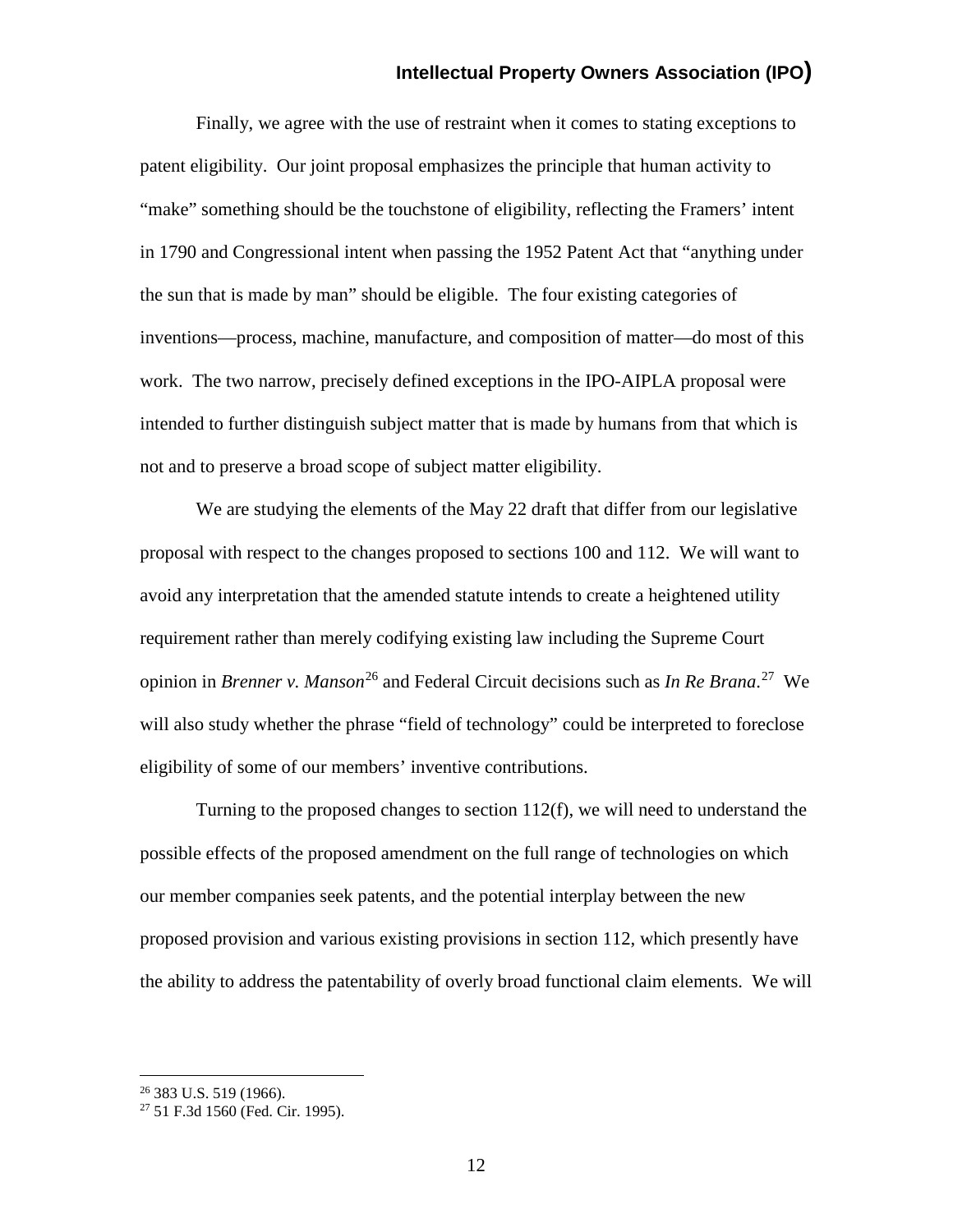Finally, we agree with the use of restraint when it comes to stating exceptions to patent eligibility. Our joint proposal emphasizes the principle that human activity to "make" something should be the touchstone of eligibility, reflecting the Framers' intent in 1790 and Congressional intent when passing the 1952 Patent Act that "anything under the sun that is made by man" should be eligible. The four existing categories of inventions—process, machine, manufacture, and composition of matter—do most of this work. The two narrow, precisely defined exceptions in the IPO-AIPLA proposal were intended to further distinguish subject matter that is made by humans from that which is not and to preserve a broad scope of subject matter eligibility.

We are studying the elements of the May 22 draft that differ from our legislative proposal with respect to the changes proposed to sections 100 and 112. We will want to avoid any interpretation that the amended statute intends to create a heightened utility requirement rather than merely codifying existing law including the Supreme Court opinion in *Brenner v. Manson*<sup>[26](#page-11-0)</sup> and Federal Circuit decisions such as *In Re Brana*.<sup>[27](#page-11-1)</sup> We will also study whether the phrase "field of technology" could be interpreted to foreclose eligibility of some of our members' inventive contributions.

Turning to the proposed changes to section 112(f), we will need to understand the possible effects of the proposed amendment on the full range of technologies on which our member companies seek patents, and the potential interplay between the new proposed provision and various existing provisions in section 112, which presently have the ability to address the patentability of overly broad functional claim elements. We will

<span id="page-11-0"></span> <sup>26</sup> 383 U.S. 519 (1966).

<span id="page-11-1"></span><sup>27</sup> 51 F.3d 1560 (Fed. Cir. 1995).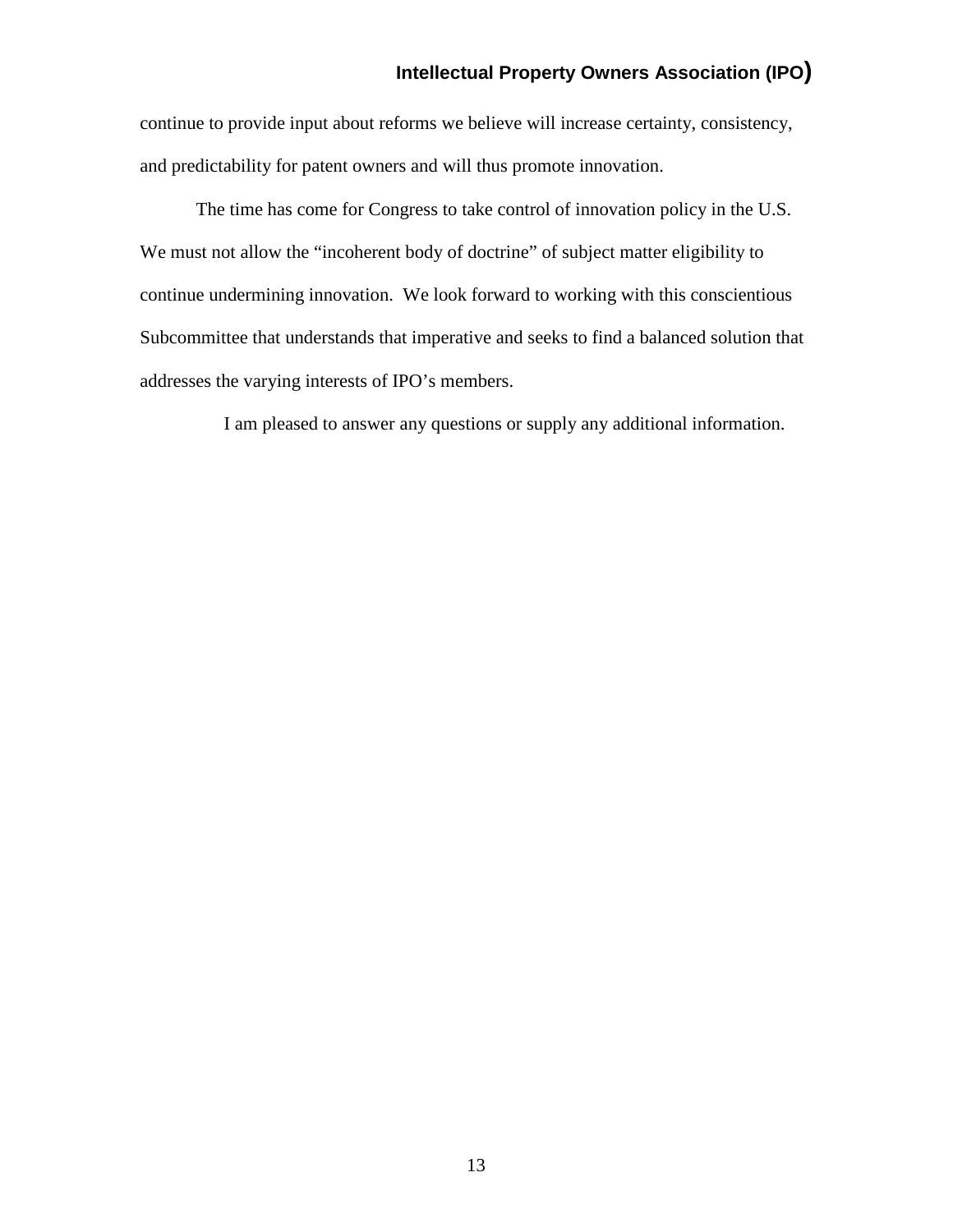continue to provide input about reforms we believe will increase certainty, consistency, and predictability for patent owners and will thus promote innovation.

The time has come for Congress to take control of innovation policy in the U.S. We must not allow the "incoherent body of doctrine" of subject matter eligibility to continue undermining innovation. We look forward to working with this conscientious Subcommittee that understands that imperative and seeks to find a balanced solution that addresses the varying interests of IPO's members.

I am pleased to answer any questions or supply any additional information.